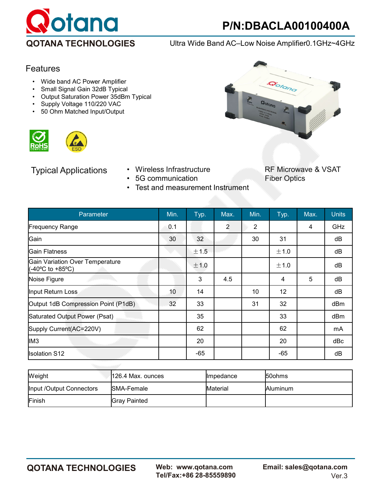

Gotono

**QOTANA TECHNOLOGIES** Ultra Wide Band AC–Low Noise Amplifier0.1GHz~4GHz

# Features

- Wide band AC Power Amplifier
- Small Signal Gain 32dB Typical
- Output Saturation Power 35dBm Typical
- Supply Voltage 110/220 VAC
- 50 Ohm Matched Input/Output





- 5G communication
- Typical Applications Wireless Infrastructure RF Microwave & VSAT<br>• 5G communication Fiber Optics
	- Test and measurement Instrument

| Parameter                                           | Min. | Typ.            | Max.           | Min.           | Typ.              | Max. | <b>Units</b> |
|-----------------------------------------------------|------|-----------------|----------------|----------------|-------------------|------|--------------|
| <b>Frequency Range</b>                              | 0.1  |                 | $\overline{2}$ | $\overline{2}$ |                   | 4    | GHz          |
| Gain                                                | 30   | 32 <sup>2</sup> |                | 30             | 31                |      | dB           |
| lGain Flatness                                      |      | ± 1.5           |                |                | ±1.0              |      | dB           |
| Gain Variation Over Temperature<br>(-40°C to +85°C) |      | ±1.0            |                |                | ±1.0              |      | dB           |
| Noise Figure                                        |      | $\overline{3}$  | 4.5            |                | 4                 | 5    | dB           |
| Input Return Loss                                   | 10   | 14              |                | 10             | $12 \overline{ }$ |      | dB           |
| Output 1dB Compression Point (P1dB)                 | 32   | 33              |                | 31             | 32                |      | dBm          |
| Saturated Output Power (Psat)                       |      | 35              |                |                | 33                |      | dBm          |
| Supply Current(AC=220V)                             |      | 62              |                |                | 62                |      | mA           |
| IM <sub>3</sub>                                     |      | 20              |                |                | 20                |      | dBc          |
| <b>Isolation S12</b>                                |      | -65             |                |                | $-65$             |      | dB           |

| Weight                   | l126.4 Max. ounces   | <b>Ilmpedance</b> | <b>50ohms</b>    |
|--------------------------|----------------------|-------------------|------------------|
| Input /Output Connectors | <b>ISMA-Female</b>   | <b>Material</b>   | <b>IAluminum</b> |
| Finish                   | <b>IGrav Painted</b> |                   |                  |

Tel/Fax:+86 28-85559890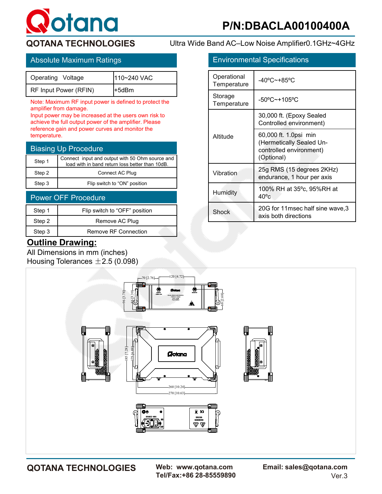

**QOTANA TECHNOLOGIES** Ultra Wide Band AC–Low Noise Amplifier0.1GHz~4GHz

| Operating Voltage     | 110~240 VAC |
|-----------------------|-------------|
| RF Input Power (RFIN) | l+5dBm      |

Note: Maximum RF input power is defined to protect the amplifier from damage.

Input power may be increased at the users own risk to achieve the full output power of the amplifier. Please reference gain and power curves and monitor the temperature.

| <b>Biasing Up Procedure</b> |                                                                                                    |  |  |
|-----------------------------|----------------------------------------------------------------------------------------------------|--|--|
| Step 1                      | Connect input and output with 50 Ohm source and<br>load with in band return loss better than 10dB. |  |  |
| Step 2                      | Connect AC Plug                                                                                    |  |  |
| Step 3                      | Flip switch to "ON" position                                                                       |  |  |

| <b>Power OFF Procedure</b> |                               |  |  |
|----------------------------|-------------------------------|--|--|
| Step 1                     | Flip switch to "OFF" position |  |  |
| Step 2                     | Remove AC Plug                |  |  |
| Step 3                     | Remove RF Connection          |  |  |

# **Outline Drawing:**

All Dimensions in mm (inches) Housing Tolerances  $\pm 2.5$  (0.098)





Tel/Fax:+86 28-85559890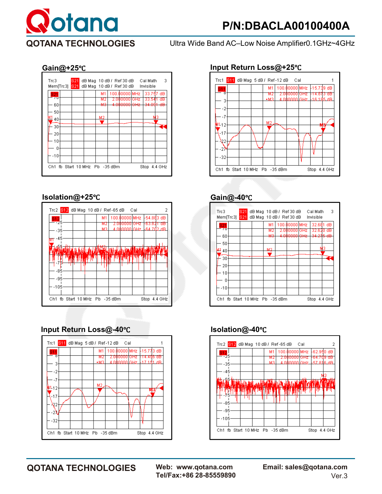

**QOTANA TECHNOLOGIES** Ultra Wide Band AC–Low Noise Amplifier0.1GHz~4GHz



### **Isolation@+25**℃ **Gain@-40**℃



# **Input Return Loss@-40**℃ **Isolation@-40**℃



### **Gain@+25**℃ **Input Return Loss@+25**℃







Tel/Fax:+86 28-85559890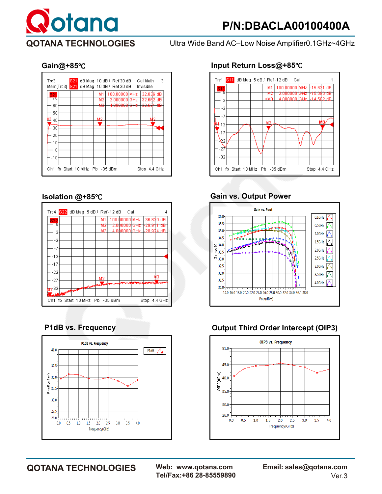

**QOTANA TECHNOLOGIES** Ultra Wide Band AC–Low Noise Amplifier0.1GHz~4GHz







### **Gain@+85**℃ **Input Return Loss@+85**℃



# **Isolation @+85**℃ **Gain vs. Output Power**



# **P1dB vs. Frequency COUTER 19 COUPS Output Third Order Intercept (OIP3)**



**QOTANA TECHNOLOGIES Web: www.qotana.com Email: sales@qotana.com**  Tel/Fax:+86 28-85559890